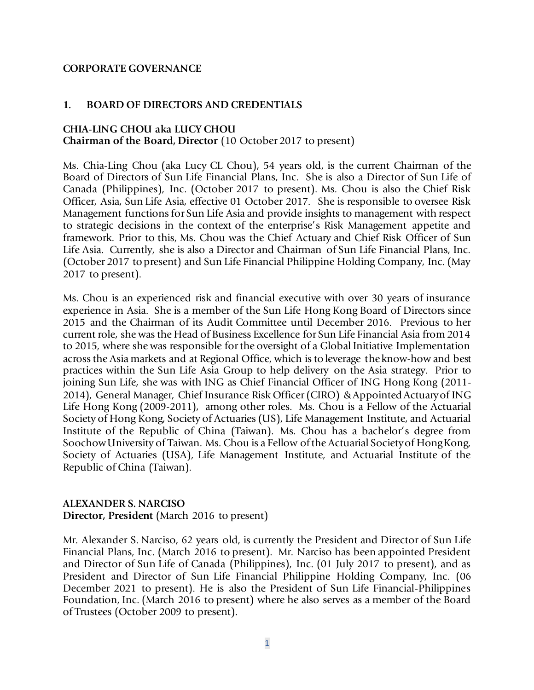#### **CORPORATE GOVERNANCE**

#### **1. BOARD OF DIRECTORS AND CREDENTIALS**

#### **CHIA-LING CHOU aka LUCY CHOU Chairman of the Board, Director** (10 October 2017 to present)

Ms. Chia-Ling Chou (aka Lucy CL Chou), 54 years old, is the current Chairman of the Board of Directors of Sun Life Financial Plans, Inc. She is also a Director of Sun Life of Canada (Philippines), Inc. (October 2017 to present). Ms. Chou is also the Chief Risk Officer, Asia, Sun Life Asia, effective 01 October 2017. She is responsible to oversee Risk Management functions for Sun Life Asia and provide insights to management with respect to strategic decisions in the context of the enterprise's Risk Management appetite and framework. Prior to this, Ms. Chou was the Chief Actuary and Chief Risk Officer of Sun Life Asia. Currently, she is also a Director and Chairman of Sun Life Financial Plans, Inc. (October 2017 to present) and Sun Life Financial Philippine Holding Company, Inc. (May 2017 to present).

Ms. Chou is an experienced risk and financial executive with over 30 years of insurance experience in Asia. She is a member of the Sun Life Hong Kong Board of Directors since 2015 and the Chairman of its Audit Committee until December 2016. Previous to her current role, she was the Head of Business Excellence for Sun Life Financial Asia from 2014 to 2015, where she was responsible for the oversight of a Global Initiative Implementation across the Asia markets and at Regional Office, which is to leverage the know-how and best practices within the Sun Life Asia Group to help delivery on the Asia strategy. Prior to joining Sun Life, she was with ING as Chief Financial Officer of ING Hong Kong (2011- 2014), General Manager, Chief Insurance Risk Officer (CIRO) & Appointed Actuary of ING Life Hong Kong (2009-2011), among other roles. Ms. Chou is a Fellow of the Actuarial Society of Hong Kong, Society of Actuaries (US), Life Management Institute, and Actuarial Institute of the Republic of China (Taiwan). Ms. Chou has a bachelor's degree from Soochow University of Taiwan. Ms. Chou is a Fellow of the Actuarial Society of Hong Kong, Society of Actuaries (USA), Life Management Institute, and Actuarial Institute of the Republic of China (Taiwan).

#### **ALEXANDER S. NARCISO**

**Director, President** (March 2016 to present)

Mr. Alexander S. Narciso, 62 years old, is currently the President and Director of Sun Life Financial Plans, Inc. (March 2016 to present). Mr. Narciso has been appointed President and Director of Sun Life of Canada (Philippines), Inc. (01 July 2017 to present), and as President and Director of Sun Life Financial Philippine Holding Company, Inc. (06 December 2021 to present). He is also the President of Sun Life Financial-Philippines Foundation, Inc. (March 2016 to present) where he also serves as a member of the Board of Trustees (October 2009 to present).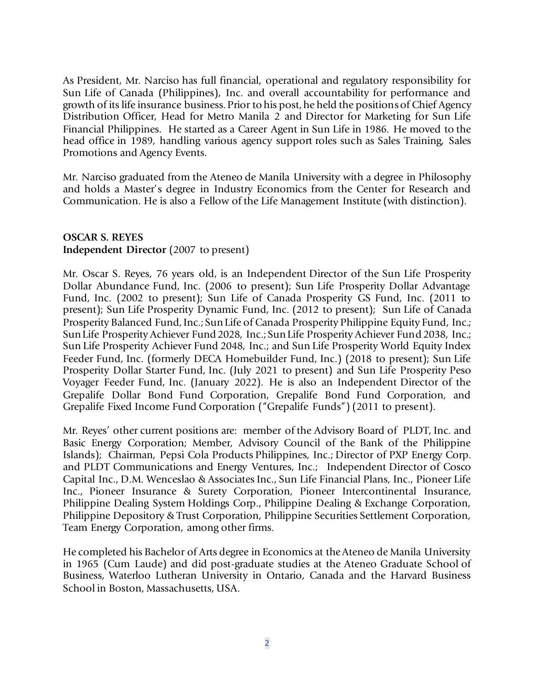As President, Mr. Narciso has full financial, operational and regulatory responsibility for Sun Life of Canada (Philippines), Inc. and overall accountability for performance and growth of its life insurance business. Prior to his post, he held the positions of Chief Agency Distribution Officer, Head for Metro Manila 2 and Director for Marketing for Sun Life Financial Philippines. He started as a Career Agent in Sun Life in 1986. He moved to the head office in 1989, handling various agency support roles such as Sales Training, Sales Promotions and Agency Events.

Mr. Narciso graduated from the Ateneo de Manila University with a degree in Philosophy and holds a Master's degree in Industry Economics from the Center for Research and Communication. He is also a Fellow of the Life Management Institute (with distinction).

### **OSCAR S. REYES Independent Director** (2007 to present)

Mr. Oscar S. Reyes, 76 years old, is an Independent Director of the Sun Life Prosperity Dollar Abundance Fund, Inc. (2006 to present); Sun Life Prosperity Dollar Advantage Fund, Inc. (2002 to present); Sun Life of Canada Prosperity GS Fund, Inc. (2011 to present); Sun Life Prosperity Dynamic Fund, Inc. (2012 to present); Sun Life of Canada Prosperity Balanced Fund, Inc.; Sun Life of Canada Prosperity Philippine Equity Fund, Inc.; Sun Life Prosperity Achiever Fund 2028, Inc.; Sun Life Prosperity Achiever Fund 2038, Inc.; Sun Life Prosperity Achiever Fund 2048, Inc.; and Sun Life Prosperity World Equity Index Feeder Fund, Inc. (formerly DECA Homebuilder Fund, Inc.) (2018 to present); Sun Life Prosperity Dollar Starter Fund, Inc. (July 2021 to present) and Sun Life Prosperity Peso Voyager Feeder Fund, Inc. (January 2022). He is also an Independent Director of the Grepalife Dollar Bond Fund Corporation, Grepalife Bond Fund Corporation, and Grepalife Fixed Income Fund Corporation ("Grepalife Funds") (2011 to present).

Mr. Reyes' other current positions are: member of the Advisory Board of PLDT, Inc. and Basic Energy Corporation; Member, Advisory Council of the Bank of the Philippine Islands); Chairman, Pepsi Cola Products Philippines, Inc.; Director of PXP Energy Corp. and PLDT Communications and Energy Ventures, Inc.; Independent Director of Cosco Capital Inc., D.M. Wenceslao & Associates Inc., Sun Life Financial Plans, Inc., Pioneer Life Inc., Pioneer Insurance & Surety Corporation, Pioneer Intercontinental Insurance, Philippine Dealing System Holdings Corp., Philippine Dealing & Exchange Corporation, Philippine Depository & Trust Corporation, Philippine Securities Settlement Corporation, Team Energy Corporation, among other firms.

He completed his Bachelor of Arts degree in Economics at the Ateneo de Manila University in 1965 (Cum Laude) and did post-graduate studies at the Ateneo Graduate School of Business, Waterloo Lutheran University in Ontario, Canada and the Harvard Business School in Boston, Massachusetts, USA.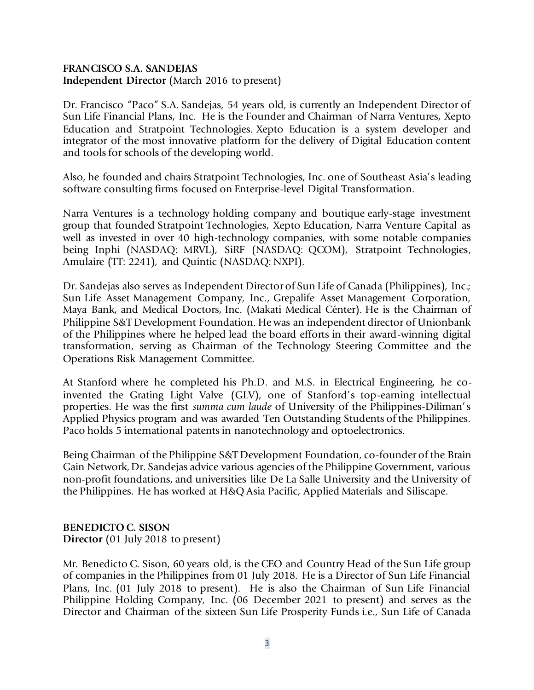#### **FRANCISCO S.A. SANDEJAS Independent Director** (March 2016 to present)

Dr. Francisco "Paco" S.A. Sandejas, 54 years old, is currently an Independent Director of Sun Life Financial Plans, Inc. He is the Founder and Chairman of Narra Ventures, Xepto Education and Stratpoint Technologies. Xepto Education is a system developer and integrator of the most innovative platform for the delivery of Digital Education content and tools for schools of the developing world.

Also, he founded and chairs Stratpoint Technologies, Inc. one of Southeast Asia's leading software consulting firms focused on Enterprise-level Digital Transformation.

Narra Ventures is a technology holding company and boutique early-stage investment group that founded Stratpoint Technologies, Xepto Education, Narra Venture Capital as well as invested in over 40 high-technology companies, with some notable companies being Inphi (NASDAQ: MRVL), SiRF (NASDAQ: QCOM), Stratpoint Technologies, Amulaire (TT: 2241), and Quintic (NASDAQ: NXPI).

Dr. Sandejas also serves as Independent Director of Sun Life of Canada (Philippines), Inc.; Sun Life Asset Management Company, Inc., Grepalife Asset Management Corporation, Maya Bank, and Medical Doctors, Inc. (Makati Medical Cénter). He is the Chairman of Philippine S&T Development Foundation. He was an independent director of Unionbank of the Philippines where he helped lead the board efforts in their award-winning digital transformation, serving as Chairman of the Technology Steering Committee and the Operations Risk Management Committee.

At Stanford where he completed his Ph.D. and M.S. in Electrical Engineering, he coinvented the Grating Light Valve (GLV), one of Stanford's top-earning intellectual properties. He was the first *summa cum laude* of University of the Philippines-Diliman's Applied Physics program and was awarded Ten Outstanding Students of the Philippines. Paco holds 5 international patents in nanotechnology and optoelectronics.

Being Chairman of the Philippine S&T Development Foundation, co-founder of the Brain Gain Network, Dr. Sandejas advice various agencies of the Philippine Government, various non-profit foundations, and universities like De La Salle University and the University of the Philippines. He has worked at H&Q Asia Pacific, Applied Materials and Siliscape.

#### **BENEDICTO C. SISON Director** (01 July 2018 to present)

Mr. Benedicto C. Sison, 60 years old, is the CEO and Country Head of the Sun Life group of companies in the Philippines from 01 July 2018. He is a Director of Sun Life Financial Plans, Inc. (01 July 2018 to present). He is also the Chairman of Sun Life Financial Philippine Holding Company, Inc. (06 December 2021 to present) and serves as the Director and Chairman of the sixteen Sun Life Prosperity Funds i.e., Sun Life of Canada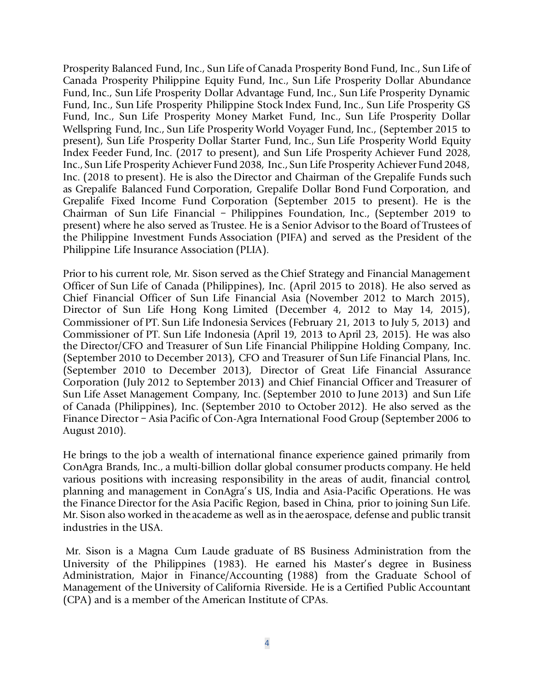Prosperity Balanced Fund, Inc., Sun Life of Canada Prosperity Bond Fund, Inc., Sun Life of Canada Prosperity Philippine Equity Fund, Inc., Sun Life Prosperity Dollar Abundance Fund, Inc., Sun Life Prosperity Dollar Advantage Fund, Inc., Sun Life Prosperity Dynamic Fund, Inc., Sun Life Prosperity Philippine Stock Index Fund, Inc., Sun Life Prosperity GS Fund, Inc., Sun Life Prosperity Money Market Fund, Inc., Sun Life Prosperity Dollar Wellspring Fund, Inc., Sun Life Prosperity World Voyager Fund, Inc., (September 2015 to present), Sun Life Prosperity Dollar Starter Fund, Inc., Sun Life Prosperity World Equity Index Feeder Fund, Inc. (2017 to present), and Sun Life Prosperity Achiever Fund 2028, Inc., Sun Life Prosperity Achiever Fund 2038, Inc., Sun Life Prosperity Achiever Fund 2048, Inc. (2018 to present). He is also the Director and Chairman of the Grepalife Funds such as Grepalife Balanced Fund Corporation, Grepalife Dollar Bond Fund Corporation, and Grepalife Fixed Income Fund Corporation (September 2015 to present). He is the Chairman of Sun Life Financial – Philippines Foundation, Inc., (September 2019 to present) where he also served as Trustee. He is a Senior Advisor to the Board of Trustees of the Philippine Investment Funds Association (PIFA) and served as the President of the Philippine Life Insurance Association (PLIA).

Prior to his current role, Mr. Sison served as the Chief Strategy and Financial Management Officer of Sun Life of Canada (Philippines), Inc. (April 2015 to 2018). He also served as Chief Financial Officer of Sun Life Financial Asia (November 2012 to March 2015), Director of Sun Life Hong Kong Limited (December 4, 2012 to May 14, 2015), Commissioner of PT. Sun Life Indonesia Services (February 21, 2013 to July 5, 2013) and Commissioner of PT. Sun Life Indonesia (April 19, 2013 to April 23, 2015). He was also the Director/CFO and Treasurer of Sun Life Financial Philippine Holding Company, Inc. (September 2010 to December 2013), CFO and Treasurer of Sun Life Financial Plans, Inc. (September 2010 to December 2013), Director of Great Life Financial Assurance Corporation (July 2012 to September 2013) and Chief Financial Officer and Treasurer of Sun Life Asset Management Company, Inc. (September 2010 to June 2013) and Sun Life of Canada (Philippines), Inc. (September 2010 to October 2012). He also served as the Finance Director – Asia Pacific of Con-Agra International Food Group (September 2006 to August 2010).

He brings to the job a wealth of international finance experience gained primarily from ConAgra Brands, Inc., a multi-billion dollar global consumer products company. He held various positions with increasing responsibility in the areas of audit, financial control, planning and management in ConAgra's US, India and Asia-Pacific Operations. He was the Finance Director for the Asia Pacific Region, based in China, prior to joining Sun Life. Mr. Sison also worked in the academe as well as in the aerospace, defense and public transit industries in the USA.

Mr. Sison is a Magna Cum Laude graduate of BS Business Administration from the University of the Philippines (1983). He earned his Master's degree in Business Administration, Major in Finance/Accounting (1988) from the Graduate School of Management of the University of California Riverside. He is a Certified Public Accountant (CPA) and is a member of the American Institute of CPAs.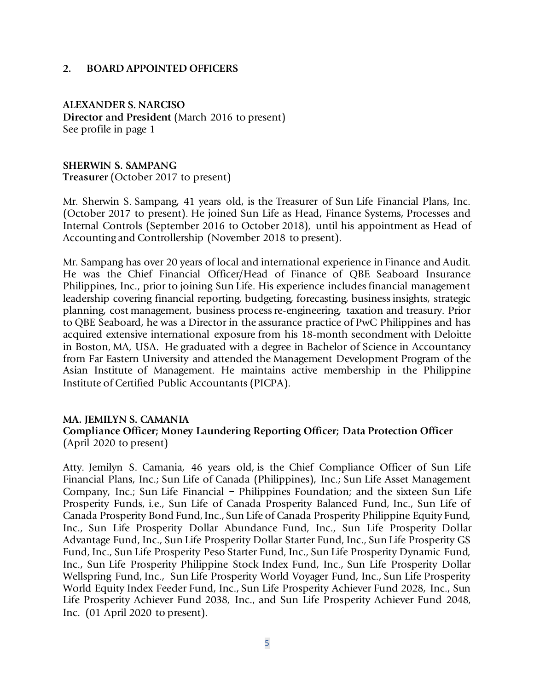#### **2. BOARD APPOINTED OFFICERS**

**ALEXANDER S. NARCISO Director and President** (March 2016 to present) See profile in page 1

**SHERWIN S. SAMPANG Treasurer** (October 2017 to present)

Mr. Sherwin S. Sampang, 41 years old, is the Treasurer of Sun Life Financial Plans, Inc. (October 2017 to present). He joined Sun Life as Head, Finance Systems, Processes and Internal Controls (September 2016 to October 2018), until his appointment as Head of Accounting and Controllership (November 2018 to present).

Mr. Sampang has over 20 years of local and international experience in Finance and Audit. He was the Chief Financial Officer/Head of Finance of QBE Seaboard Insurance Philippines, Inc., prior to joining Sun Life. His experience includes financial management leadership covering financial reporting, budgeting, forecasting, business insights, strategic planning, cost management, business process re-engineering, taxation and treasury. Prior to QBE Seaboard, he was a Director in the assurance practice of PwC Philippines and has acquired extensive international exposure from his 18-month secondment with Deloitte in Boston, MA, USA. He graduated with a degree in Bachelor of Science in Accountancy from Far Eastern University and attended the Management Development Program of the Asian Institute of Management. He maintains active membership in the Philippine Institute of Certified Public Accountants (PICPA).

#### **MA. JEMILYN S. CAMANIA**

### **Compliance Officer; Money Laundering Reporting Officer; Data Protection Officer**  (April 2020 to present)

Atty. Jemilyn S. Camania, 46 years old, is the Chief Compliance Officer of Sun Life Financial Plans, Inc.; Sun Life of Canada (Philippines), Inc.; Sun Life Asset Management Company, Inc.; Sun Life Financial – Philippines Foundation; and the sixteen Sun Life Prosperity Funds, i.e., Sun Life of Canada Prosperity Balanced Fund, Inc., Sun Life of Canada Prosperity Bond Fund, Inc., Sun Life of Canada Prosperity Philippine Equity Fund, Inc., Sun Life Prosperity Dollar Abundance Fund, Inc., Sun Life Prosperity Dollar Advantage Fund, Inc., Sun Life Prosperity Dollar Starter Fund, Inc., Sun Life Prosperity GS Fund, Inc., Sun Life Prosperity Peso Starter Fund, Inc., Sun Life Prosperity Dynamic Fund, Inc., Sun Life Prosperity Philippine Stock Index Fund, Inc., Sun Life Prosperity Dollar Wellspring Fund, Inc., Sun Life Prosperity World Voyager Fund, Inc., Sun Life Prosperity World Equity Index Feeder Fund, Inc., Sun Life Prosperity Achiever Fund 2028, Inc., Sun Life Prosperity Achiever Fund 2038, Inc., and Sun Life Prosperity Achiever Fund 2048, Inc. (01 April 2020 to present).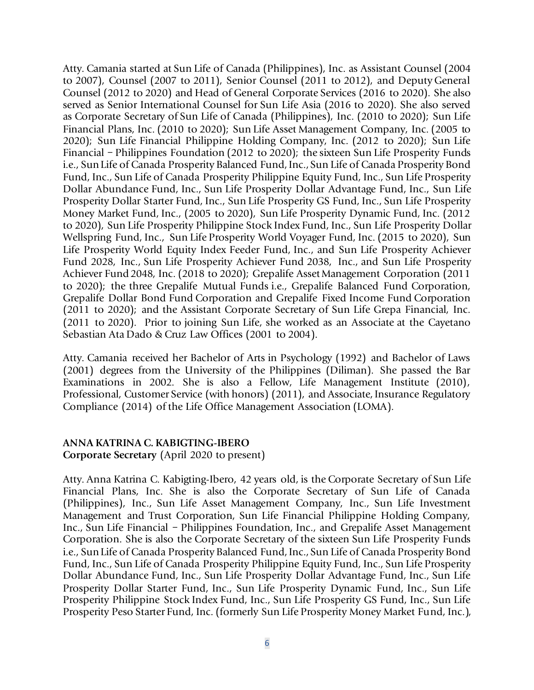Atty. Camania started at Sun Life of Canada (Philippines), Inc. as Assistant Counsel (2004 to 2007), Counsel (2007 to 2011), Senior Counsel (2011 to 2012), and Deputy General Counsel (2012 to 2020) and Head of General Corporate Services (2016 to 2020). She also served as Senior International Counsel for Sun Life Asia (2016 to 2020). She also served as Corporate Secretary of Sun Life of Canada (Philippines), Inc. (2010 to 2020); Sun Life Financial Plans, Inc. (2010 to 2020); Sun Life Asset Management Company, Inc. (2005 to 2020); Sun Life Financial Philippine Holding Company, Inc. (2012 to 2020); Sun Life Financial – Philippines Foundation (2012 to 2020); the sixteen Sun Life Prosperity Funds i.e., Sun Life of Canada Prosperity Balanced Fund, Inc., Sun Life of Canada Prosperity Bond Fund, Inc., Sun Life of Canada Prosperity Philippine Equity Fund, Inc., Sun Life Prosperity Dollar Abundance Fund, Inc., Sun Life Prosperity Dollar Advantage Fund, Inc., Sun Life Prosperity Dollar Starter Fund, Inc., Sun Life Prosperity GS Fund, Inc., Sun Life Prosperity Money Market Fund, Inc., (2005 to 2020), Sun Life Prosperity Dynamic Fund, Inc. (2012 to 2020), Sun Life Prosperity Philippine Stock Index Fund, Inc., Sun Life Prosperity Dollar Wellspring Fund, Inc., Sun Life Prosperity World Voyager Fund, Inc. (2015 to 2020), Sun Life Prosperity World Equity Index Feeder Fund, Inc., and Sun Life Prosperity Achiever Fund 2028, Inc., Sun Life Prosperity Achiever Fund 2038, Inc., and Sun Life Prosperity Achiever Fund 2048, Inc. (2018 to 2020); Grepalife Asset Management Corporation (2011 to 2020); the three Grepalife Mutual Funds i.e., Grepalife Balanced Fund Corporation, Grepalife Dollar Bond Fund Corporation and Grepalife Fixed Income Fund Corporation (2011 to 2020); and the Assistant Corporate Secretary of Sun Life Grepa Financial, Inc. (2011 to 2020). Prior to joining Sun Life, she worked as an Associate at the Cayetano Sebastian Ata Dado & Cruz Law Offices (2001 to 2004).

Atty. Camania received her Bachelor of Arts in Psychology (1992) and Bachelor of Laws (2001) degrees from the University of the Philippines (Diliman). She passed the Bar Examinations in 2002. She is also a Fellow, Life Management Institute (2010), Professional, Customer Service (with honors) (2011), and Associate, Insurance Regulatory Compliance (2014) of the Life Office Management Association (LOMA).

#### **ANNA KATRINA C. KABIGTING-IBERO Corporate Secretary** (April 2020 to present)

Atty. Anna Katrina C. Kabigting-Ibero, 42 years old, is the Corporate Secretary of Sun Life Financial Plans, Inc. She is also the Corporate Secretary of Sun Life of Canada (Philippines), Inc., Sun Life Asset Management Company, Inc., Sun Life Investment Management and Trust Corporation, Sun Life Financial Philippine Holding Company, Inc., Sun Life Financial – Philippines Foundation, Inc., and Grepalife Asset Management Corporation. She is also the Corporate Secretary of the sixteen Sun Life Prosperity Funds i.e., Sun Life of Canada Prosperity Balanced Fund, Inc., Sun Life of Canada Prosperity Bond Fund, Inc., Sun Life of Canada Prosperity Philippine Equity Fund, Inc., Sun Life Prosperity Dollar Abundance Fund, Inc., Sun Life Prosperity Dollar Advantage Fund, Inc., Sun Life Prosperity Dollar Starter Fund, Inc., Sun Life Prosperity Dynamic Fund, Inc., Sun Life Prosperity Philippine Stock Index Fund, Inc., Sun Life Prosperity GS Fund, Inc., Sun Life Prosperity Peso Starter Fund, Inc. (formerly Sun Life Prosperity Money Market Fund, Inc.),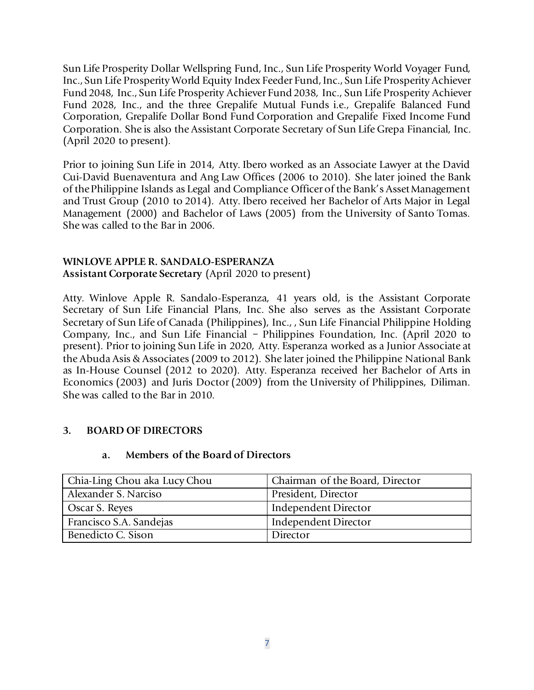Sun Life Prosperity Dollar Wellspring Fund, Inc., Sun Life Prosperity World Voyager Fund, Inc., Sun Life Prosperity World Equity Index Feeder Fund, Inc., Sun Life Prosperity Achiever Fund 2048, Inc., Sun Life Prosperity Achiever Fund 2038, Inc., Sun Life Prosperity Achiever Fund 2028, Inc., and the three Grepalife Mutual Funds i.e., Grepalife Balanced Fund Corporation, Grepalife Dollar Bond Fund Corporation and Grepalife Fixed Income Fund Corporation. She is also the Assistant Corporate Secretary of Sun Life Grepa Financial, Inc. (April 2020 to present).

Prior to joining Sun Life in 2014, Atty. Ibero worked as an Associate Lawyer at the David Cui-David Buenaventura and Ang Law Offices (2006 to 2010). She later joined the Bank of the Philippine Islands as Legal and Compliance Officer of the Bank's Asset Management and Trust Group (2010 to 2014). Atty. Ibero received her Bachelor of Arts Major in Legal Management (2000) and Bachelor of Laws (2005) from the University of Santo Tomas. She was called to the Bar in 2006.

### **WINLOVE APPLE R. SANDALO-ESPERANZA Assistant Corporate Secretary** (April 2020 to present)

Atty. Winlove Apple R. Sandalo-Esperanza, 41 years old, is the Assistant Corporate Secretary of Sun Life Financial Plans, Inc. She also serves as the Assistant Corporate Secretary of Sun Life of Canada (Philippines), Inc., , Sun Life Financial Philippine Holding Company, Inc., and Sun Life Financial – Philippines Foundation, Inc. (April 2020 to present). Prior to joining Sun Life in 2020, Atty. Esperanza worked as a Junior Associate at the Abuda Asis & Associates (2009 to 2012). She later joined the Philippine National Bank as In-House Counsel (2012 to 2020). Atty. Esperanza received her Bachelor of Arts in Economics (2003) and Juris Doctor (2009) from the University of Philippines, Diliman. She was called to the Bar in 2010.

## **3. BOARD OF DIRECTORS**

## **a. Members of the Board of Directors**

| Chia-Ling Chou aka Lucy Chou | Chairman of the Board, Director |
|------------------------------|---------------------------------|
| Alexander S. Narciso         | President, Director             |
| Oscar S. Reyes               | Independent Director            |
| Francisco S.A. Sandejas      | Independent Director            |
| Benedicto C. Sison           | Director                        |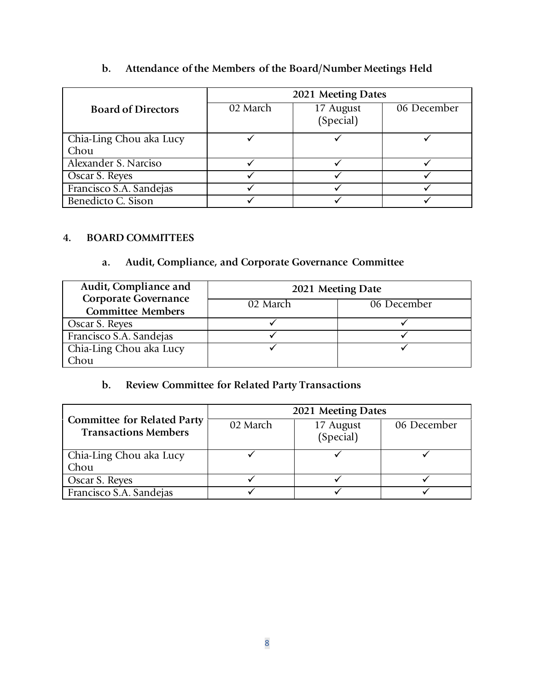|                                 | 2021 Meeting Dates |                        |             |  |
|---------------------------------|--------------------|------------------------|-------------|--|
| <b>Board of Directors</b>       | 02 March           | 17 August<br>(Special) | 06 December |  |
| Chia-Ling Chou aka Lucy<br>Chou |                    |                        |             |  |
| Alexander S. Narciso            |                    |                        |             |  |
| Oscar S. Reyes                  |                    |                        |             |  |
| Francisco S.A. Sandejas         |                    |                        |             |  |
| Benedicto C. Sison              |                    |                        |             |  |

## **b. Attendance of the Members of the Board/Number Meetings Held**

## **4. BOARD COMMITTEES**

## **a. Audit, Compliance, and Corporate Governance Committee**

| Audit, Compliance and                                   | 2021 Meeting Date |             |  |
|---------------------------------------------------------|-------------------|-------------|--|
| <b>Corporate Governance</b><br><b>Committee Members</b> | 02 March          | 06 December |  |
| Oscar S. Reyes                                          |                   |             |  |
| Francisco S.A. Sandejas                                 |                   |             |  |
| Chia-Ling Chou aka Lucy                                 |                   |             |  |
| Chou                                                    |                   |             |  |

# **b. Review Committee for Related Party Transactions**

|                                                                   | 2021 Meeting Dates |                        |             |  |
|-------------------------------------------------------------------|--------------------|------------------------|-------------|--|
| <b>Committee for Related Party</b><br><b>Transactions Members</b> | 02 March           | 17 August<br>(Special) | 06 December |  |
| Chia-Ling Chou aka Lucy                                           |                    |                        |             |  |
| Chou                                                              |                    |                        |             |  |
| Oscar S. Reyes                                                    |                    |                        |             |  |
| Francisco S.A. Sandejas                                           |                    |                        |             |  |